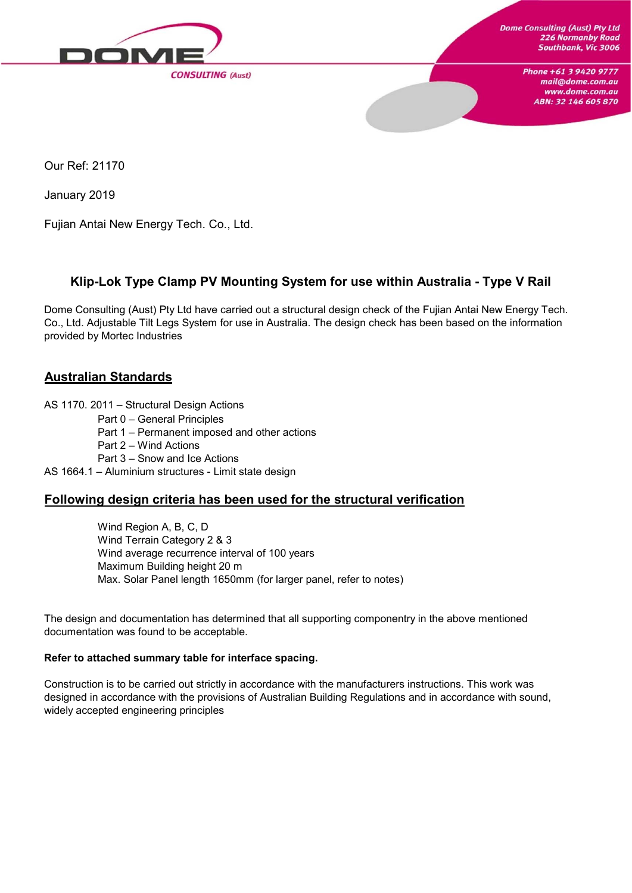

Our Ref: 21170

January 2019

Fujian Antai New Energy Tech. Co., Ltd.

### **Klip-Lok Type Clamp PV Mounting System for use within Australia - Type V Rail**

Dome Consulting (Aust) Pty Ltd have carried out a structural design check of the Fujian Antai New Energy Tech. Co., Ltd. Adjustable Tilt Legs System for use in Australia. The design check has been based on the information provided by Mortec Industries

### **Australian Standards**

AS 1170. 2011 – Structural Design Actions

- Part 0 General Principles
- Part 1 Permanent imposed and other actions
- Part 2 Wind Actions
- Part 3 Snow and Ice Actions

AS 1664.1 – Aluminium structures - Limit state design

### **Following design criteria has been used for the structural verification**

Wind Region A, B, C, D Wind Terrain Category 2 & 3 Wind average recurrence interval of 100 years Maximum Building height 20 m Max. Solar Panel length 1650mm (for larger panel, refer to notes)

The design and documentation has determined that all supporting componentry in the above mentioned documentation was found to be acceptable.

#### **Refer to attached summary table for interface spacing.**

Construction is to be carried out strictly in accordance with the manufacturers instructions. This work was designed in accordance with the provisions of Australian Building Regulations and in accordance with sound, widely accepted engineering principles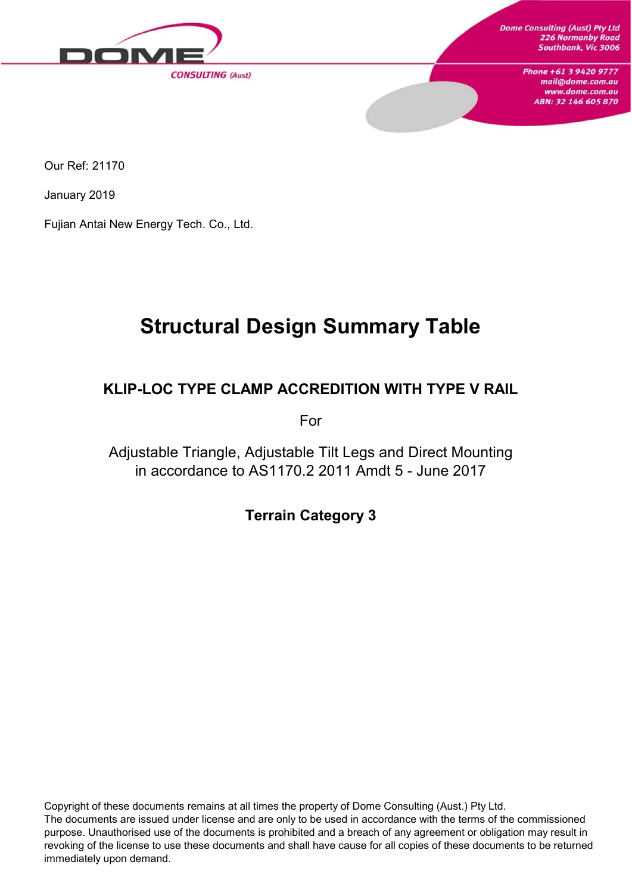

Our Ref: 21170

January 2019

Fujian Antai New Energy Tech. Co., Ltd.

# **Structural Design Summary Table**

### **KLIP-LOC TYPE CLAMP ACCREDITION WITH TYPE V RAIL**

For

Adjustable Triangle, Adjustable Tilt Legs and Direct Mounting in accordance to AS1170.2 2011 Amdt 5 - June 2017

**Terrain Category 3**

Copyright of these documents remains at all times the property of Dome Consulting (Aust.) Pty Ltd. The documents are issued under license and are only to be used in accordance with the terms of the commissioned purpose. Unauthorised use of the documents is prohibited and a breach of any agreement or obligation may result in revoking of the license to use these documents and shall have cause for all copies of these documents to be returned immediately upon demand.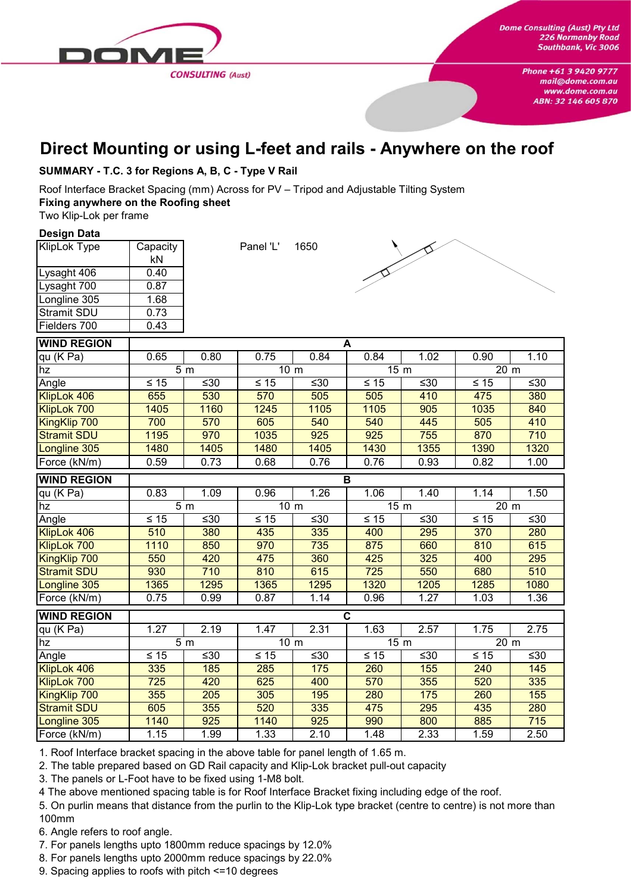

## **Direct Mounting or using L-feet and rails - Anywhere on the roof**

#### **SUMMARY - T.C. 3 for Regions A, B, C - Type V Rail**

Roof Interface Bracket Spacing (mm) Across for PV – Tripod and Adjustable Tilting System **Fixing anywhere on the Roofing sheet**

Two Klip-Lok per frame

#### **Design Data**

| <b>KlipLok Type</b> | Capacity |
|---------------------|----------|
|                     | kN       |
| Lysaght 406         | 0.40     |
| Lysaght 700         | 0.87     |
| Longline 305        | 1.68     |
| <b>Stramit SDU</b>  | 0.73     |
| Fielders 700        | 0.43     |

Panel 'L' 1650



| <b>WIND REGION</b>  | A         |                  |                 |      |                         |      |                           |                   |
|---------------------|-----------|------------------|-----------------|------|-------------------------|------|---------------------------|-------------------|
| qu (K Pa)           | 0.65      | 0.80             | 0.75            | 0.84 | 0.84                    | 1.02 | 0.90                      | $\overline{1}.10$ |
| hz                  |           | 5 <sub>m</sub>   | 10 <sub>m</sub> |      | 15 <sub>m</sub>         |      | 20 m                      |                   |
| Angle               | $\leq 15$ | ≤30              | $\leq 15$       | ≤30  | $\leq 15$               | ≤30  | $\leq 15$                 | ≤30               |
| KlipLok 406         | 655       | 530              | 570             | 505  | 505                     | 410  | 475                       | 380               |
| KlipLok 700         | 1405      | 1160             | 1245            | 1105 | 1105                    | 905  | 1035                      | 840               |
| KingKlip 700        | 700       | 570              | 605             | 540  | 540                     | 445  | 505                       | 410               |
| <b>Stramit SDU</b>  | 1195      | 970              | 1035            | 925  | 925                     | 755  | 870                       | 710               |
| Longline 305        | 1480      | 1405             | 1480            | 1405 | 1430                    | 1355 | 1390                      | 1320              |
| Force (kN/m)        | 0.59      | 0.73             | 0.68            | 0.76 | 0.76                    | 0.93 | 0.82                      | 1.00              |
| <b>WIND REGION</b>  |           |                  |                 |      | B                       |      |                           |                   |
| qu (K Pa)           | 0.83      | 1.09             | 0.96            | 1.26 | 1.06                    | 1.40 | 1.14                      | 1.50              |
| hz                  |           | 5 <sub>m</sub>   | 10 <sub>m</sub> |      | 15 <sub>m</sub>         |      | $\overline{2}0 \text{ m}$ |                   |
| Angle               | $≤ 15$    | ≤30              | $\leq 15$       | ≤30  | $\leq 15$               | ≤30  | $\leq 15$                 | ≤30               |
| KlipLok 406         | 510       | 380              | 435             | 335  | 400                     | 295  | 370                       | 280               |
| KlipLok 700         | 1110      | 850              | 970             | 735  | 875                     | 660  | 810                       | 615               |
| <b>KingKlip 700</b> | 550       | 420              | 475             | 360  | 425                     | 325  | 400                       | 295               |
| <b>Stramit SDU</b>  | 930       | 710              | 810             | 615  | 725                     | 550  | 680                       | 510               |
| Longline 305        | 1365      | 1295             | 1365            | 1295 | 1320                    | 1205 | 1285                      | 1080              |
| Force (kN/m)        | 0.75      | 0.99             | 0.87            | 1.14 | 0.96                    | 1.27 | 1.03                      | 1.36              |
| <b>WIND REGION</b>  |           |                  |                 |      | $\overline{\mathbf{c}}$ |      |                           |                   |
| qu (K Pa)           | 1.27      | 2.19             | 1.47            | 2.31 | 1.63                    | 2.57 | 1.75                      | 2.75              |
| hz                  |           | $\overline{5}$ m | 10 <sub>m</sub> |      | $\overline{15}$ m       |      | 20 m                      |                   |
| Angle               | $≤ 15$    | ≤30              | $\leq 15$       | ≤30  | $\leq 15$               | ≤30  | $\leq 15$                 | ≤30               |
| KlipLok 406         | 335       | 185              | 285             | 175  | 260                     | 155  | 240                       | 145               |
| KlipLok 700         | 725       | 420              | 625             | 400  | 570                     | 355  | 520                       | 335               |
| KingKlip 700        | 355       | 205              | 305             | 195  | 280                     | 175  | 260                       | 155               |
| <b>Stramit SDU</b>  | 605       | 355              | 520             | 335  | 475                     | 295  | 435                       | 280               |
| Longline 305        | 1140      | 925              | 1140            | 925  | 990                     | 800  | 885                       | 715               |
| Force (kN/m)        | 1.15      | 1.99             | 1.33            | 2.10 | 1.48                    | 2.33 | 1.59                      | 2.50              |

1. Roof Interface bracket spacing in the above table for panel length of 1.65 m.

2. The table prepared based on GD Rail capacity and Klip-Lok bracket pull-out capacity

3. The panels or L-Foot have to be fixed using 1-M8 bolt.

4 The above mentioned spacing table is for Roof Interface Bracket fixing including edge of the roof.

5. On purlin means that distance from the purlin to the Klip-Lok type bracket (centre to centre) is not more than 100mm

6. Angle refers to roof angle.

7. For panels lengths upto 1800mm reduce spacings by 12.0%

8. For panels lengths upto 2000mm reduce spacings by 22.0%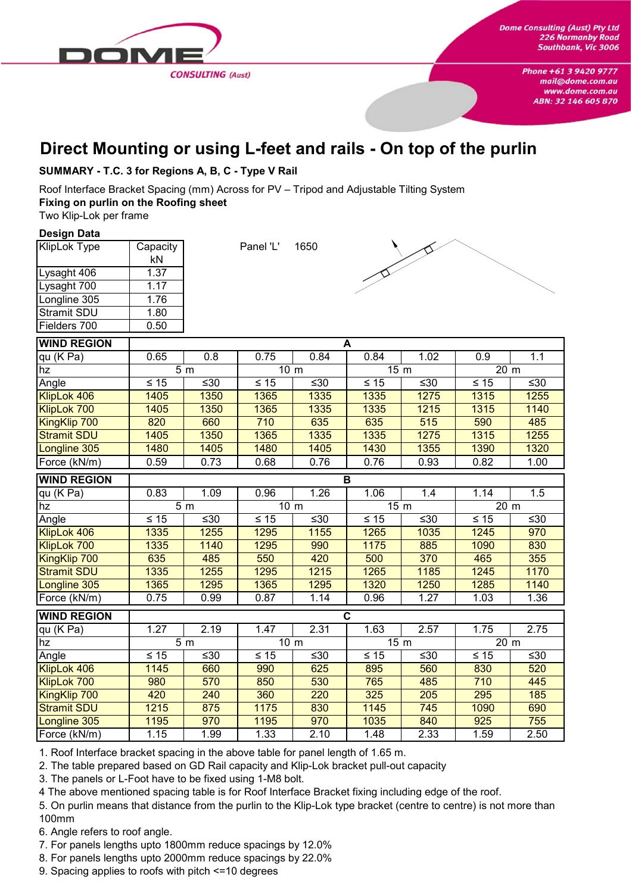

## **Direct Mounting or using L-feet and rails - On top of the purlin**

#### **SUMMARY - T.C. 3 for Regions A, B, C - Type V Rail**

Roof Interface Bracket Spacing (mm) Across for PV – Tripod and Adjustable Tilting System **Fixing on purlin on the Roofing sheet**

Two Klip-Lok per frame

#### **Design Data**

| <b>KlipLok Type</b> | Capacity |
|---------------------|----------|
|                     | kN       |
| Lysaght 406         | 1.37     |
| Lysaght 700         | 1.17     |
| Longline 305        | 1.76     |
| <b>Stramit SDU</b>  | 1.80     |
| Fielders 700        | 0.50     |

Panel 'L' 1650



| <b>WIND REGION</b>  | A         |                  |                 |       |                         |       |                           |           |
|---------------------|-----------|------------------|-----------------|-------|-------------------------|-------|---------------------------|-----------|
| qu (K Pa)           | 0.65      | 0.8              | 0.75            | 0.84  | 0.84                    | 1.02  | 0.9                       | 1.1       |
| hz                  |           | 5 <sub>m</sub>   | 10 <sub>m</sub> |       | 15 <sub>m</sub>         |       | 20 m                      |           |
| Angle               | $\leq 15$ | ≤30              | $\leq 15$       | $≤30$ | $\leq 15$               | ≤30   | $\leq 15$                 | $\leq 30$ |
| KlipLok 406         | 1405      | 1350             | 1365            | 1335  | 1335                    | 1275  | 1315                      | 1255      |
| KlipLok 700         | 1405      | 1350             | 1365            | 1335  | 1335                    | 1215  | 1315                      | 1140      |
| KingKlip 700        | 820       | 660              | 710             | 635   | 635                     | 515   | 590                       | 485       |
| <b>Stramit SDU</b>  | 1405      | 1350             | 1365            | 1335  | 1335                    | 1275  | 1315                      | 1255      |
| Longline 305        | 1480      | 1405             | 1480            | 1405  | 1430                    | 1355  | 1390                      | 1320      |
| Force (kN/m)        | 0.59      | 0.73             | 0.68            | 0.76  | 0.76                    | 0.93  | 0.82                      | 1.00      |
| <b>WIND REGION</b>  |           |                  |                 |       | B                       |       |                           |           |
| $qu$ (K Pa)         | 0.83      | 1.09             | 0.96            | 1.26  | 1.06                    | 1.4   | 1.14                      | 1.5       |
| hz                  |           | 5 <sub>m</sub>   | 10 <sub>m</sub> |       | 15 <sub>m</sub>         |       | $\overline{2}0 \text{ m}$ |           |
| Angle               | $\leq 15$ | $≤30$            | $\leq 15$       | $≤30$ | $\leq 15$               | $≤30$ | $\leq 15$                 | $\leq 30$ |
| KlipLok 406         | 1335      | 1255             | 1295            | 1155  | $\overline{1265}$       | 1035  | 1245                      | 970       |
| KlipLok 700         | 1335      | 1140             | 1295            | 990   | 1175                    | 885   | 1090                      | 830       |
| KingKlip 700        | 635       | 485              | 550             | 420   | 500                     | 370   | 465                       | 355       |
| <b>Stramit SDU</b>  | 1335      | 1255             | 1295            | 1215  | 1265                    | 1185  | 1245                      | 1170      |
| Longline 305        | 1365      | 1295             | 1365            | 1295  | 1320                    | 1250  | 1285                      | 1140      |
| Force (kN/m)        | 0.75      | 0.99             | 0.87            | 1.14  | 0.96                    | 1.27  | 1.03                      | 1.36      |
| <b>WIND REGION</b>  |           |                  |                 |       | $\overline{\mathbf{c}}$ |       |                           |           |
| qu (K Pa)           | 1.27      | 2.19             | 1.47            | 2.31  | 1.63                    | 2.57  | 1.75                      | 2.75      |
| hz                  |           | $\overline{5}$ m | 10 <sub>m</sub> |       | 15 m                    |       | 20 <sub>m</sub>           |           |
| Angle               | $≤ 15$    | ≤30              | $≤ 15$          | $≤30$ | $\leq 15$               | $≤30$ | $\leq 15$                 | $≤30$     |
| KlipLok 406         | 1145      | 660              | 990             | 625   | 895                     | 560   | 830                       | 520       |
| KlipLok 700         | 980       | 570              | 850             | 530   | 765                     | 485   | 710                       | 445       |
| <b>KingKlip 700</b> | 420       | 240              | 360             | 220   | 325                     | 205   | 295                       | 185       |
| <b>Stramit SDU</b>  | 1215      | 875              | 1175            | 830   | 1145                    | 745   | 1090                      | 690       |
| Longline 305        | 1195      | 970              | 1195            | 970   | 1035                    | 840   | 925                       | 755       |
| Force (kN/m)        | 1.15      | 1.99             | 1.33            | 2.10  | 1.48                    | 2.33  | 1.59                      | 2.50      |

1. Roof Interface bracket spacing in the above table for panel length of 1.65 m.

2. The table prepared based on GD Rail capacity and Klip-Lok bracket pull-out capacity

3. The panels or L-Foot have to be fixed using 1-M8 bolt.

4 The above mentioned spacing table is for Roof Interface Bracket fixing including edge of the roof.

5. On purlin means that distance from the purlin to the Klip-Lok type bracket (centre to centre) is not more than 100mm

6. Angle refers to roof angle.

7. For panels lengths upto 1800mm reduce spacings by 12.0%

8. For panels lengths upto 2000mm reduce spacings by 22.0%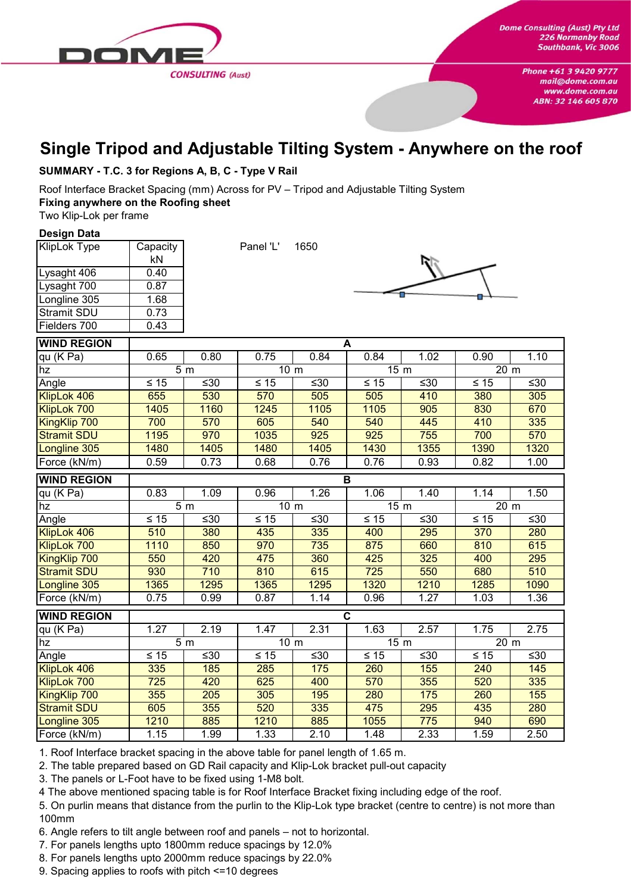

## **Single Tripod and Adjustable Tilting System - Anywhere on the roof**

#### **SUMMARY - T.C. 3 for Regions A, B, C - Type V Rail**

Roof Interface Bracket Spacing (mm) Across for PV – Tripod and Adjustable Tilting System **Fixing anywhere on the Roofing sheet**

Two Klip-Lok per frame

#### **Design Data**

| <b>KlipLok Type</b> | Capacity |  |  |  |  |
|---------------------|----------|--|--|--|--|
|                     | kN       |  |  |  |  |
| Lysaght 406         | 0.40     |  |  |  |  |
| Lysaght 700         | 0.87     |  |  |  |  |
| Longline 305        | 1.68     |  |  |  |  |
| <b>Stramit SDU</b>  | 0.73     |  |  |  |  |
| Fielders 700        | 0.43     |  |  |  |  |

Panel 'L' 1650



| <b>WIND REGION</b>  | $\blacktriangle$ |                |                 |      |                         |       |                 |        |
|---------------------|------------------|----------------|-----------------|------|-------------------------|-------|-----------------|--------|
| qu (K Pa)           | 0.65             | 0.80           | 0.75            | 0.84 | 0.84                    | 1.02  | 0.90            | 1.10   |
| hz                  |                  | 5 <sub>m</sub> | 10 <sub>m</sub> |      | 15 m                    |       | 20 m            |        |
| Angle               | $\leq 15$        | ≤30            | $\leq 15$       | ≤30  | $\leq 15$               | ≤30   | $\leq 15$       | ≤30    |
| KlipLok 406         | 655              | 530            | 570             | 505  | 505                     | 410   | 380             | 305    |
| KlipLok 700         | 1405             | 1160           | 1245            | 1105 | 1105                    | 905   | 830             | 670    |
| KingKlip 700        | 700              | 570            | 605             | 540  | 540                     | 445   | 410             | 335    |
| <b>Stramit SDU</b>  | 1195             | 970            | 1035            | 925  | 925                     | 755   | 700             | 570    |
| Longline 305        | 1480             | 1405           | 1480            | 1405 | 1430                    | 1355  | 1390            | 1320   |
| Force (kN/m)        | 0.59             | 0.73           | 0.68            | 0.76 | 0.76                    | 0.93  | 0.82            | 1.00   |
| <b>WIND REGION</b>  |                  |                |                 |      | B                       |       |                 |        |
| <u>qu</u> (K Pa)    | 0.83             | 1.09           | 0.96            | 1.26 | 1.06                    | 1.40  | 1.14            | 1.50   |
| hz                  |                  | 5 <sub>m</sub> | 10 <sub>m</sub> |      | 15 <sub>m</sub>         |       | 20 <sub>m</sub> |        |
| Angle               | $≤ 15$           | ≤30            | $\leq 15$       | ≤30  | $\leq 15$               | ≤30   | $\leq 15$       | ≤30    |
| KlipLok 406         | 510              | 380            | 435             | 335  | 400                     | 295   | 370             | 280    |
| KlipLok 700         | 1110             | 850            | 970             | 735  | 875                     | 660   | 810             | 615    |
| KingKlip 700        | 550              | 420            | 475             | 360  | 425                     | 325   | 400             | 295    |
| <b>Stramit SDU</b>  | 930              | 710            | 810             | 615  | 725                     | 550   | 680             | 510    |
| Longline 305        | 1365             | 1295           | 1365            | 1295 | 1320                    | 1210  | 1285            | 1090   |
| Force (kN/m)        | 0.75             | 0.99           | 0.87            | 1.14 | 0.96                    | 1.27  | 1.03            | 1.36   |
| <b>WIND REGION</b>  |                  |                |                 |      | $\overline{\mathbf{c}}$ |       |                 |        |
| qu (K Pa)           | 1.27             | 2.19           | 1.47            | 2.31 | 1.63                    | 2.57  | 1.75            | 2.75   |
| hz                  |                  | 5 <sub>m</sub> | 10 <sub>m</sub> |      | 15 <sub>m</sub>         |       | 20 <sub>m</sub> |        |
| Angle               | $≤ 15$           | ≤30            | $\leq 15$       | ≤30  | $\leq 15$               | $≤30$ | $\leq 15$       | ≤ $30$ |
| KlipLok 406         | 335              | 185            | 285             | 175  | 260                     | 155   | 240             | 145    |
| KlipLok 700         | 725              | 420            | 625             | 400  | 570                     | 355   | 520             | 335    |
| <b>KingKlip 700</b> | 355              | 205            | 305             | 195  | 280                     | 175   | 260             | 155    |
| <b>Stramit SDU</b>  | 605              | 355            | 520             | 335  | 475                     | 295   | 435             | 280    |
| Longline 305        | 1210             | 885            | 1210            | 885  | 1055                    | 775   | 940             | 690    |
| Force (kN/m)        | 1.15             | 1.99           | 1.33            | 2.10 | 1.48                    | 2.33  | 1.59            | 2.50   |

1. Roof Interface bracket spacing in the above table for panel length of 1.65 m.

2. The table prepared based on GD Rail capacity and Klip-Lok bracket pull-out capacity

3. The panels or L-Foot have to be fixed using 1-M8 bolt.

4 The above mentioned spacing table is for Roof Interface Bracket fixing including edge of the roof.

5. On purlin means that distance from the purlin to the Klip-Lok type bracket (centre to centre) is not more than 100mm

6. Angle refers to tilt angle between roof and panels – not to horizontal.

7. For panels lengths upto 1800mm reduce spacings by 12.0%

8. For panels lengths upto 2000mm reduce spacings by 22.0%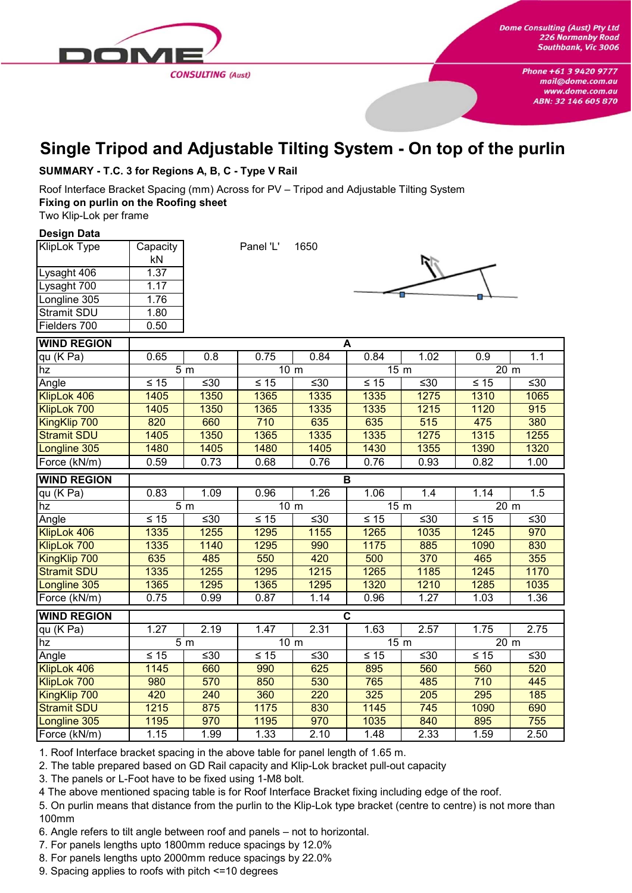

## **Single Tripod and Adjustable Tilting System - On top of the purlin**

#### **SUMMARY - T.C. 3 for Regions A, B, C - Type V Rail**

Roof Interface Bracket Spacing (mm) Across for PV – Tripod and Adjustable Tilting System **Fixing on purlin on the Roofing sheet**

Two Klip-Lok per frame

#### **Design Data**

| <b>KlipLok Type</b> | Capacity |  |  |  |  |
|---------------------|----------|--|--|--|--|
|                     | kN       |  |  |  |  |
| Lysaght 406         | 1.37     |  |  |  |  |
| Lysaght 700         | 1.17     |  |  |  |  |
| Longline 305        | 1.76     |  |  |  |  |
| <b>Stramit SDU</b>  | 1.80     |  |  |  |  |
| Fielders 700        | 0.50     |  |  |  |  |

Panel 'L' 1650



| <b>WIND REGION</b> |           |                  |                 |           | A                       |      |                 |      |
|--------------------|-----------|------------------|-----------------|-----------|-------------------------|------|-----------------|------|
| $qu$ (K Pa)        | 0.65      | 0.8              | 0.75            | 0.84      | 0.84                    | 1.02 | 0.9             | 1.1  |
| hz                 |           | $\overline{5}$ m | 10 <sub>m</sub> |           | 15 <sub>m</sub>         |      | 20 <sub>m</sub> |      |
| Angle              | $≤ 15$    | ≤30              | $\leq 15$       | ≤30       | $\leq 15$               | ≤30  | $\leq 15$       | ≤30  |
| KlipLok 406        | 1405      | 1350             | 1365            | 1335      | 1335                    | 1275 | 1310            | 1065 |
| KlipLok 700        | 1405      | 1350             | 1365            | 1335      | 1335                    | 1215 | 1120            | 915  |
| KingKlip 700       | 820       | 660              | 710             | 635       | 635                     | 515  | 475             | 380  |
| <b>Stramit SDU</b> | 1405      | 1350             | 1365            | 1335      | 1335                    | 1275 | 1315            | 1255 |
| Longline 305       | 1480      | 1405             | 1480            | 1405      | 1430                    | 1355 | 1390            | 1320 |
| Force (kN/m)       | 0.59      | 0.73             | 0.68            | 0.76      | 0.76                    | 0.93 | 0.82            | 1.00 |
| <b>WIND REGION</b> |           |                  |                 |           | B                       |      |                 |      |
| qu (K Pa)          | 0.83      | 1.09             | 0.96            | 1.26      | 1.06                    | 1.4  | 1.14            | 1.5  |
| hz                 |           | 5 <sub>m</sub>   | 10 <sub>m</sub> |           | 15 <sub>m</sub>         |      | 20 m            |      |
| Angle              | $\leq 15$ | ≤30              | $\leq 15$       | $\leq 30$ | $\leq 15$               | ≤30  | $\leq 15$       | ≤30  |
| KlipLok 406        | 1335      | 1255             | 1295            | 1155      | 1265                    | 1035 | 1245            | 970  |
| KlipLok 700        | 1335      | 1140             | 1295            | 990       | 1175                    | 885  | 1090            | 830  |
| KingKlip 700       | 635       | 485              | 550             | 420       | 500                     | 370  | 465             | 355  |
| <b>Stramit SDU</b> | 1335      | 1255             | 1295            | 1215      | 1265                    | 1185 | 1245            | 1170 |
| Longline 305       | 1365      | 1295             | 1365            | 1295      | 1320                    | 1210 | 1285            | 1035 |
| Force (kN/m)       | 0.75      | 0.99             | 0.87            | 1.14      | 0.96                    | 1.27 | 1.03            | 1.36 |
| <b>WIND REGION</b> |           |                  |                 |           | $\overline{\mathbf{c}}$ |      |                 |      |
| $qu$ (K Pa)        | 1.27      | 2.19             | 1.47            | 2.31      | 1.63                    | 2.57 | 1.75            | 2.75 |
| hz                 |           | $\overline{5}$ m | 10 <sub>m</sub> |           | 15 <sub>m</sub>         |      | 20 m            |      |
| Angle              | $≤ 15$    | ≤30              | $\leq 15$       | ≤30       | $\leq 15$               | ≤30  | $\leq 15$       | ≤30  |
| KlipLok 406        | 1145      | 660              | 990             | 625       | 895                     | 560  | 560             | 520  |
| KlipLok 700        | 980       | 570              | 850             | 530       | 765                     | 485  | 710             | 445  |
| KingKlip 700       | 420       | 240              | 360             | 220       | 325                     | 205  | 295             | 185  |
| <b>Stramit SDU</b> | 1215      | 875              | 1175            | 830       | 1145                    | 745  | 1090            | 690  |
| Longline 305       | 1195      | 970              | 1195            | 970       | 1035                    | 840  | 895             | 755  |
| Force (kN/m)       | 1.15      | 1.99             | 1.33            | 2.10      | 1.48                    | 2.33 | 1.59            | 2.50 |

1. Roof Interface bracket spacing in the above table for panel length of 1.65 m.

2. The table prepared based on GD Rail capacity and Klip-Lok bracket pull-out capacity

3. The panels or L-Foot have to be fixed using 1-M8 bolt.

4 The above mentioned spacing table is for Roof Interface Bracket fixing including edge of the roof.

5. On purlin means that distance from the purlin to the Klip-Lok type bracket (centre to centre) is not more than 100mm

6. Angle refers to tilt angle between roof and panels – not to horizontal.

7. For panels lengths upto 1800mm reduce spacings by 12.0%

8. For panels lengths upto 2000mm reduce spacings by 22.0%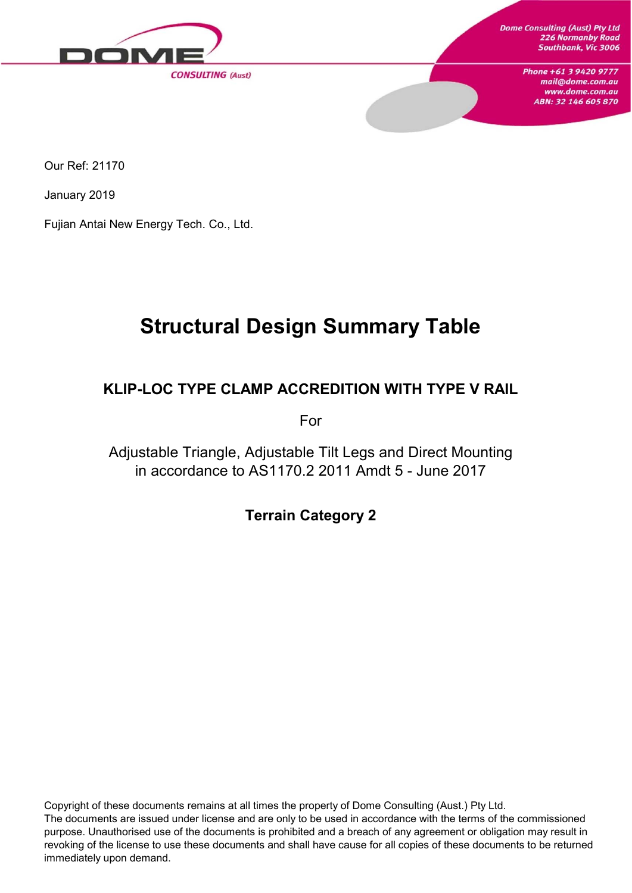

Our Ref: 21170

January 2019

Fujian Antai New Energy Tech. Co., Ltd.

# **Structural Design Summary Table**

### **KLIP-LOC TYPE CLAMP ACCREDITION WITH TYPE V RAIL**

For

Adjustable Triangle, Adjustable Tilt Legs and Direct Mounting in accordance to AS1170.2 2011 Amdt 5 - June 2017

**Terrain Category 2**

Copyright of these documents remains at all times the property of Dome Consulting (Aust.) Pty Ltd. The documents are issued under license and are only to be used in accordance with the terms of the commissioned purpose. Unauthorised use of the documents is prohibited and a breach of any agreement or obligation may result in revoking of the license to use these documents and shall have cause for all copies of these documents to be returned immediately upon demand.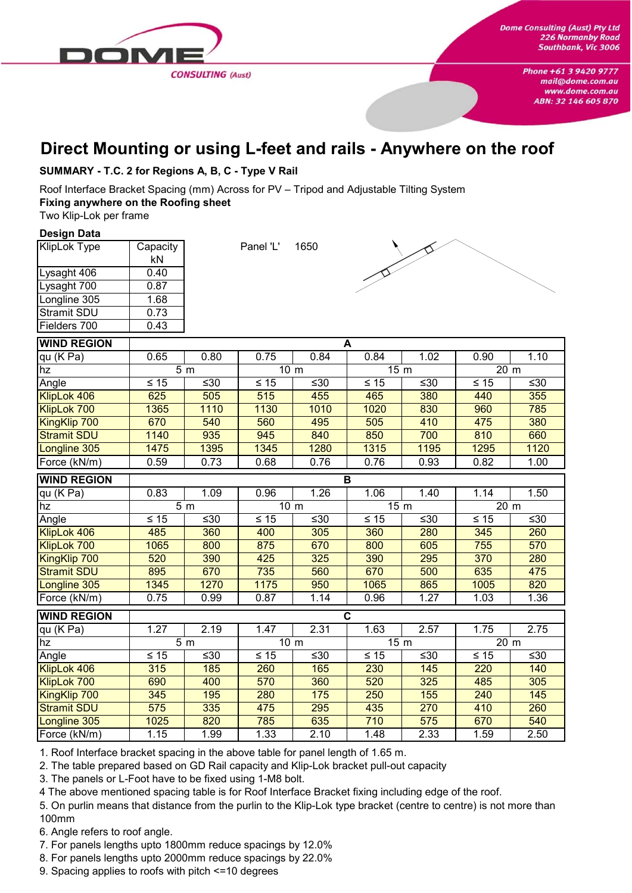

## **Direct Mounting or using L-feet and rails - Anywhere on the roof**

**SUMMARY - T.C. 2 for Regions A, B, C - Type V Rail**

Roof Interface Bracket Spacing (mm) Across for PV – Tripod and Adjustable Tilting System **Fixing anywhere on the Roofing sheet**

Two Klip-Lok per frame

#### **Design Data**

| KlipLok Type       | Capacity |  |  |  |
|--------------------|----------|--|--|--|
|                    | kN       |  |  |  |
| Lysaght 406        | 0.40     |  |  |  |
| Lysaght 700        | 0.87     |  |  |  |
| Longline 305       | 1.68     |  |  |  |
| <b>Stramit SDU</b> | 0.73     |  |  |  |
| Fielders 700       | 0.43     |  |  |  |

Panel 'L' 1650



| <b>WIND REGION</b> | A      |                |                 |       |                 |       |                |      |
|--------------------|--------|----------------|-----------------|-------|-----------------|-------|----------------|------|
| qu (K Pa)          | 0.65   | 0.80           | 0.75            | 0.84  | 0.84            | 1.02  | 0.90           | 1.10 |
| hz                 |        | 5 <sub>m</sub> | 10 <sub>m</sub> |       | 15 <sub>m</sub> |       | 20 m           |      |
| Angle              | $≤ 15$ | ≤30            | $\leq 15$       | ≤30   | $\leq 15$       | ≤30   | $\leq 15$      | ≤30  |
| KlipLok 406        | 625    | 505            | 515             | 455   | 465             | 380   | 440            | 355  |
| KlipLok 700        | 1365   | 1110           | 1130            | 1010  | 1020            | 830   | 960            | 785  |
| KingKlip 700       | 670    | 540            | 560             | 495   | 505             | 410   | 475            | 380  |
| <b>Stramit SDU</b> | 1140   | 935            | 945             | 840   | 850             | 700   | 810            | 660  |
| Longline 305       | 1475   | 1395           | 1345            | 1280  | 1315            | 1195  | 1295           | 1120 |
| Force (kN/m)       | 0.59   | 0.73           | 0.68            | 0.76  | 0.76            | 0.93  | 0.82           | 1.00 |
| <b>WIND REGION</b> |        |                |                 |       | В               |       |                |      |
| qu (K Pa)          | 0.83   | 1.09           | 0.96            | 1.26  | 1.06            | 1.40  | 1.14           | 1.50 |
| hz                 |        | 5 <sub>m</sub> | 10 <sub>m</sub> |       | 15 <sub>m</sub> |       | $20 \text{ m}$ |      |
| Angle              | ≤ 15   | ≤30            | $\leq 15$       | $≤30$ | $≤ 15$          | $≤30$ | $≤ 15$         | ≤30  |
| KlipLok 406        | 485    | 360            | 400             | 305   | 360             | 280   | 345            | 260  |
| KlipLok 700        | 1065   | 800            | 875             | 670   | 800             | 605   | 755            | 570  |
| KingKlip 700       | 520    | 390            | 425             | 325   | 390             | 295   | 370            | 280  |
| <b>Stramit SDU</b> | 895    | 670            | 735             | 560   | 670             | 500   | 635            | 475  |
| Longline 305       | 1345   | 1270           | 1175            | 950   | 1065            | 865   | 1005           | 820  |
| Force (kN/m)       | 0.75   | 0.99           | 0.87            | 1.14  | 0.96            | 1.27  | 1.03           | 1.36 |
| <b>WIND REGION</b> |        |                |                 |       | $\mathbf c$     |       |                |      |
| qu (K Pa)          | 1.27   | 2.19           | 1.47            | 2.31  | 1.63            | 2.57  | 1.75           | 2.75 |
| hz                 |        | 5 <sub>m</sub> | 10 <sub>m</sub> |       | 15 <sub>m</sub> |       | 20 m           |      |
| Angle              | $≤ 15$ | ≤30            | $\leq 15$       | ≤30   | $\leq 15$       | $≤30$ | $\leq 15$      | ≤30  |
| KlipLok 406        | 315    | 185            | 260             | 165   | 230             | 145   | 220            | 140  |
| KlipLok 700        | 690    | 400            | 570             | 360   | 520             | 325   | 485            | 305  |
| KingKlip 700       | 345    | 195            | 280             | 175   | 250             | 155   | 240            | 145  |
| <b>Stramit SDU</b> | 575    | 335            | 475             | 295   | 435             | 270   | 410            | 260  |
| Longline 305       | 1025   | 820            | 785             | 635   | 710             | 575   | 670            | 540  |
| Force (kN/m)       | 1.15   | 1.99           | 1.33            | 2.10  | 1.48            | 2.33  | 1.59           | 2.50 |

1. Roof Interface bracket spacing in the above table for panel length of 1.65 m.

2. The table prepared based on GD Rail capacity and Klip-Lok bracket pull-out capacity

3. The panels or L-Foot have to be fixed using 1-M8 bolt.

4 The above mentioned spacing table is for Roof Interface Bracket fixing including edge of the roof.

5. On purlin means that distance from the purlin to the Klip-Lok type bracket (centre to centre) is not more than 100mm

6. Angle refers to roof angle.

7. For panels lengths upto 1800mm reduce spacings by 12.0%

8. For panels lengths upto 2000mm reduce spacings by 22.0%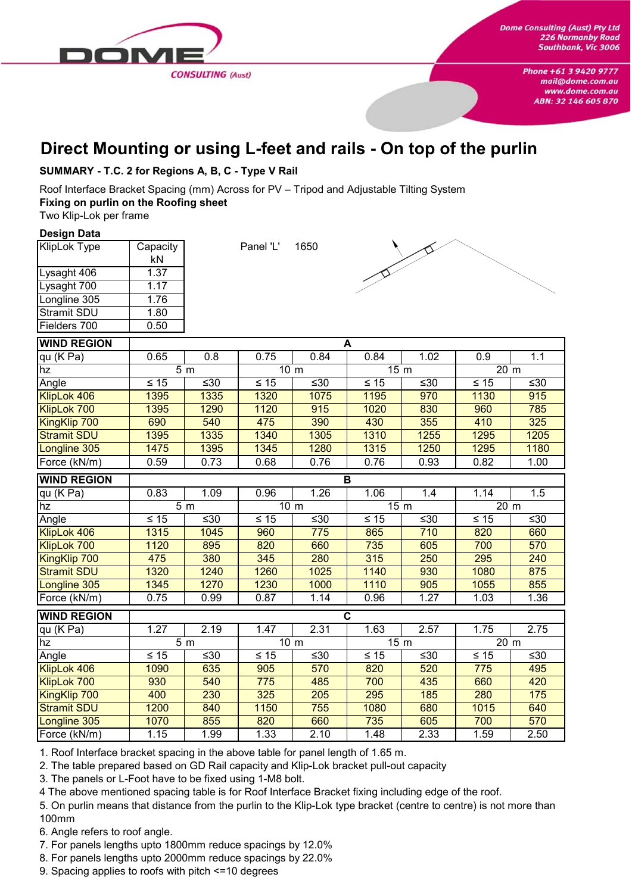

## **Direct Mounting or using L-feet and rails - On top of the purlin**

#### **SUMMARY - T.C. 2 for Regions A, B, C - Type V Rail**

Roof Interface Bracket Spacing (mm) Across for PV – Tripod and Adjustable Tilting System **Fixing on purlin on the Roofing sheet**

Two Klip-Lok per frame

#### **Design Data**

| Capacity |
|----------|
| kN       |
| 1.37     |
| 1.17     |
| 1.76     |
| 1.80     |
| 0.50     |
|          |

Panel 'L' 1650



| <b>WIND REGION</b> |           |                  |                 |       | A                       |       |                 |        |
|--------------------|-----------|------------------|-----------------|-------|-------------------------|-------|-----------------|--------|
| qu (K Pa)          | 0.65      | 0.8              | 0.75            | 0.84  | 0.84                    | 1.02  | 0.9             | 1.1    |
| hz                 |           | 5 <sub>m</sub>   | 10 <sub>m</sub> |       | 15 <sub>m</sub>         |       | 20 m            |        |
| Angle              | $\leq 15$ | $≤30$            | $\leq 15$       | $≤30$ | $\leq 15$               | $≤30$ | $\leq 15$       | $≤30$  |
| KlipLok 406        | 1395      | 1335             | 1320            | 1075  | 1195                    | 970   | 1130            | 915    |
| KlipLok 700        | 1395      | 1290             | 1120            | 915   | 1020                    | 830   | 960             | 785    |
| KingKlip 700       | 690       | 540              | 475             | 390   | 430                     | 355   | 410             | 325    |
| <b>Stramit SDU</b> | 1395      | 1335             | 1340            | 1305  | 1310                    | 1255  | 1295            | 1205   |
| Longline 305       | 1475      | 1395             | 1345            | 1280  | 1315                    | 1250  | 1295            | 1180   |
| Force (kN/m)       | 0.59      | 0.73             | 0.68            | 0.76  | 0.76                    | 0.93  | 0.82            | 1.00   |
| <b>WIND REGION</b> |           |                  |                 |       | B                       |       |                 |        |
| qu (K Pa)          | 0.83      | 1.09             | 0.96            | 1.26  | 1.06                    | 1.4   | 1.14            | 1.5    |
| hz                 |           | 5 <sub>m</sub>   | 10 <sub>m</sub> |       | 15 <sub>m</sub>         |       | 20 <sub>m</sub> |        |
| Angle              | $\leq 15$ | $\leq 30$        | $\leq 15$       | $≤30$ | $\leq 15$               | $≤30$ | $\leq 15$       | $≤30$  |
| KlipLok 406        | 1315      | 1045             | 960             | 775   | 865                     | 710   | 820             | 660    |
| KlipLok 700        | 1120      | 895              | 820             | 660   | 735                     | 605   | 700             | 570    |
| KingKlip 700       | 475       | 380              | 345             | 280   | 315                     | 250   | 295             | 240    |
| <b>Stramit SDU</b> | 1320      | 1240             | 1260            | 1025  | 1140                    | 930   | 1080            | 875    |
| Longline 305       | 1345      | 1270             | 1230            | 1000  | 1110                    | 905   | 1055            | 855    |
| Force (kN/m)       | 0.75      | 0.99             | 0.87            | 1.14  | 0.96                    | 1.27  | 1.03            | 1.36   |
| <b>WIND REGION</b> |           |                  |                 |       | $\overline{\mathsf{c}}$ |       |                 |        |
| qu (K Pa)          | 1.27      | 2.19             | 1.47            | 2.31  | 1.63                    | 2.57  | 1.75            | 2.75   |
| hz                 |           | $\overline{5}$ m | 10 <sub>m</sub> |       | 15 <sub>m</sub>         |       | 20 m            |        |
| Angle              | $\leq 15$ | ≤30              | $\leq 15$       | ≤30   | $\leq 15$               | ≤30   | $\leq 15$       | ≤ $30$ |
| KlipLok 406        | 1090      | 635              | 905             | 570   | 820                     | 520   | 775             | 495    |
| KlipLok 700        | 930       | 540              | 775             | 485   | 700                     | 435   | 660             | 420    |
| KingKlip 700       | 400       | 230              | 325             | 205   | 295                     | 185   | 280             | 175    |
| <b>Stramit SDU</b> | 1200      | 840              | 1150            | 755   | 1080                    | 680   | 1015            | 640    |
| Longline 305       | 1070      | 855              | 820             | 660   | 735                     | 605   | 700             | 570    |
| Force (kN/m)       | 1.15      | 1.99             | 1.33            | 2.10  | 1.48                    | 2.33  | 1.59            | 2.50   |

1. Roof Interface bracket spacing in the above table for panel length of 1.65 m.

2. The table prepared based on GD Rail capacity and Klip-Lok bracket pull-out capacity

3. The panels or L-Foot have to be fixed using 1-M8 bolt.

4 The above mentioned spacing table is for Roof Interface Bracket fixing including edge of the roof.

5. On purlin means that distance from the purlin to the Klip-Lok type bracket (centre to centre) is not more than 100mm

6. Angle refers to roof angle.

7. For panels lengths upto 1800mm reduce spacings by 12.0%

8. For panels lengths upto 2000mm reduce spacings by 22.0%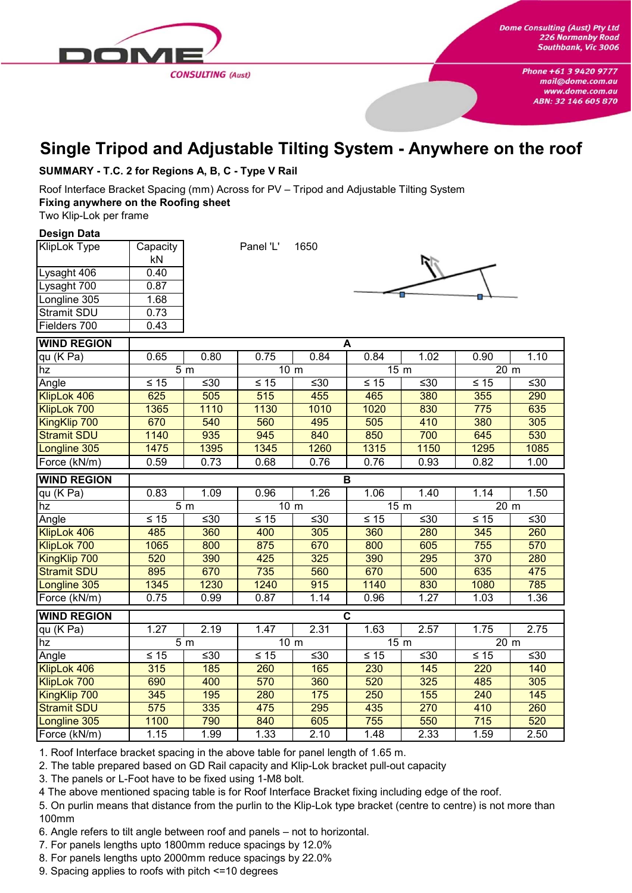

## **Single Tripod and Adjustable Tilting System - Anywhere on the roof**

#### **SUMMARY - T.C. 2 for Regions A, B, C - Type V Rail**

Roof Interface Bracket Spacing (mm) Across for PV – Tripod and Adjustable Tilting System **Fixing anywhere on the Roofing sheet**

Two Klip-Lok per frame

#### **Design Data**

| <b>KlipLok Type</b> | Capacity |  |  |  |
|---------------------|----------|--|--|--|
|                     | kN       |  |  |  |
| Lysaght 406         | 0.40     |  |  |  |
| Lysaght 700         | 0.87     |  |  |  |
| Longline 305        | 1.68     |  |  |  |
| <b>Stramit SDU</b>  | 0.73     |  |  |  |
| Fielders 700        | 0.43     |  |  |  |

Panel 'L' 1650



| <b>WIND REGION</b>  | A              |                |                 |       |                         |      |                   |      |
|---------------------|----------------|----------------|-----------------|-------|-------------------------|------|-------------------|------|
| qu (K Pa)           | 0.65           | 0.80           | 0.75            | 0.84  | 0.84                    | 1.02 | 0.90              | 1.10 |
| hz                  |                | 5 <sub>m</sub> | 10 <sub>m</sub> |       | 15 m                    |      | 20 m              |      |
| Angle               | $\leq 15$      | ≤30            | $\leq 15$       | $≤30$ | $\leq 15$               | ≤30  | $\leq 15$         | ≤30  |
| KlipLok 406         | 625            | 505            | 515             | 455   | 465                     | 380  | 355               | 290  |
| KlipLok 700         | 1365           | 1110           | 1130            | 1010  | 1020                    | 830  | 775               | 635  |
| <b>KingKlip 700</b> | 670            | 540            | 560             | 495   | 505                     | 410  | 380               | 305  |
| <b>Stramit SDU</b>  | 1140           | 935            | 945             | 840   | 850                     | 700  | 645               | 530  |
| Longline 305        | 1475           | 1395           | 1345            | 1260  | 1315                    | 1150 | 1295              | 1085 |
| Force (kN/m)        | 0.59           | 0.73           | 0.68            | 0.76  | 0.76                    | 0.93 | 0.82              | 1.00 |
| <b>WIND REGION</b>  | $\mathbf B$    |                |                 |       |                         |      |                   |      |
| qu (K Pa)           | 0.83           | 1.09           | 0.96            | 1.26  | 1.06                    | 1.40 | 1.14              | 1.50 |
| hz                  |                | 5 <sub>m</sub> | 10 <sub>m</sub> |       | 15 <sub>m</sub>         |      | 20 m              |      |
| Angle               | $\leq 15$      | ≤30            | $\leq 15$       | ≤30   | $\leq 15$               | ≤30  | $\leq 15$         | ≤30  |
| KlipLok 406         | 485            | 360            | 400             | 305   | 360                     | 280  | 345               | 260  |
| KlipLok 700         | 1065           | 800            | 875             | 670   | 800                     | 605  | 755               | 570  |
| KingKlip 700        | 520            | 390            | 425             | 325   | 390                     | 295  | 370               | 280  |
| <b>Stramit SDU</b>  | 895            | 670            | 735             | 560   | 670                     | 500  | 635               | 475  |
| Longline 305        | 1345           | 1230           | 1240            | 915   | 1140                    | 830  | 1080              | 785  |
| Force (kN/m)        | 0.75           | 0.99           | 0.87            | 1.14  | 0.96                    | 1.27 | 1.03              | 1.36 |
| <b>WIND REGION</b>  |                |                |                 |       | $\overline{\mathbf{c}}$ |      |                   |      |
| qu (K Pa)           | 1.27           | 2.19           | 1.47            | 2.31  | 1.63                    | 2.57 | 1.75              | 2.75 |
| hz                  | 5 <sub>m</sub> |                | 10 <sub>m</sub> |       | 15 <sub>m</sub>         |      | $\overline{2}0$ m |      |
| Angle               | $≤ 15$         | ≤30            | $\leq 15$       | ≤30   | $\leq 15$               | ≤30  | $\leq 15$         | ≤30  |
| KlipLok 406         | 315            | 185            | 260             | 165   | 230                     | 145  | 220               | 140  |
| KlipLok 700         | 690            | 400            | 570             | 360   | 520                     | 325  | 485               | 305  |
| KingKlip 700        | 345            | 195            | 280             | 175   | 250                     | 155  | 240               | 145  |
| <b>Stramit SDU</b>  | 575            | 335            | 475             | 295   | 435                     | 270  | 410               | 260  |
| Longline 305        | 1100           | 790            | 840             | 605   | 755                     | 550  | 715               | 520  |
| Force (kN/m)        | 1.15           | 1.99           | 1.33            | 2.10  | 1.48                    | 2.33 | 1.59              | 2.50 |

1. Roof Interface bracket spacing in the above table for panel length of 1.65 m.

2. The table prepared based on GD Rail capacity and Klip-Lok bracket pull-out capacity

3. The panels or L-Foot have to be fixed using 1-M8 bolt.

4 The above mentioned spacing table is for Roof Interface Bracket fixing including edge of the roof.

5. On purlin means that distance from the purlin to the Klip-Lok type bracket (centre to centre) is not more than 100mm

6. Angle refers to tilt angle between roof and panels – not to horizontal.

7. For panels lengths upto 1800mm reduce spacings by 12.0%

8. For panels lengths upto 2000mm reduce spacings by 22.0%